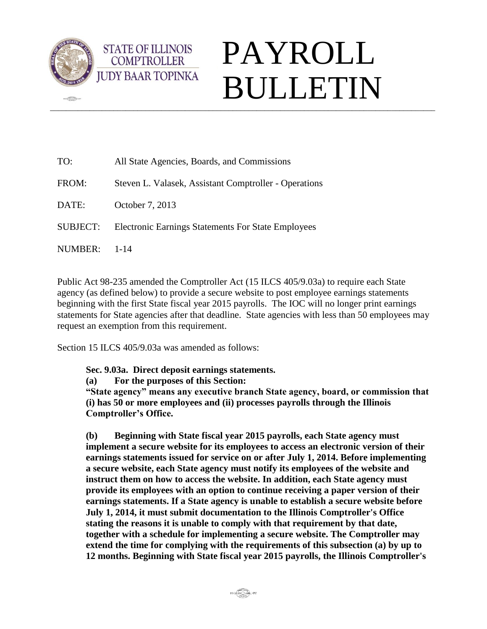

 $\frac{1}{2}$ 



| TO:             | All State Agencies, Boards, and Commissions               |
|-----------------|-----------------------------------------------------------|
| FROM:           | Steven L. Valasek, Assistant Comptroller - Operations     |
| DATE:           | October 7, 2013                                           |
| <b>SUBJECT:</b> | <b>Electronic Earnings Statements For State Employees</b> |
| NUMBER:         | 1-14                                                      |

Public Act 98-235 amended the Comptroller Act (15 ILCS 405/9.03a) to require each State agency (as defined below) to provide a secure website to post employee earnings statements beginning with the first State fiscal year 2015 payrolls. The IOC will no longer print earnings statements for State agencies after that deadline. State agencies with less than 50 employees may request an exemption from this requirement.

Section 15 ILCS 405/9.03a was amended as follows:

**STATE OF ILLINOIS COMPTROLLER** 

**Sec. 9.03a. Direct deposit earnings statements.**

**(a) For the purposes of this Section:**

**"State agency" means any executive branch State agency, board, or commission that (i) has 50 or more employees and (ii) processes payrolls through the Illinois Comptroller's Office.**

**(b) Beginning with State fiscal year 2015 payrolls, each State agency must implement a secure website for its employees to access an electronic version of their earnings statements issued for service on or after July 1, 2014. Before implementing a secure website, each State agency must notify its employees of the website and instruct them on how to access the website. In addition, each State agency must provide its employees with an option to continue receiving a paper version of their earnings statements. If a State agency is unable to establish a secure website before July 1, 2014, it must submit documentation to the Illinois Comptroller's Office stating the reasons it is unable to comply with that requirement by that date, together with a schedule for implementing a secure website. The Comptroller may extend the time for complying with the requirements of this subsection (a) by up to 12 months. Beginning with State fiscal year 2015 payrolls, the Illinois Comptroller's**